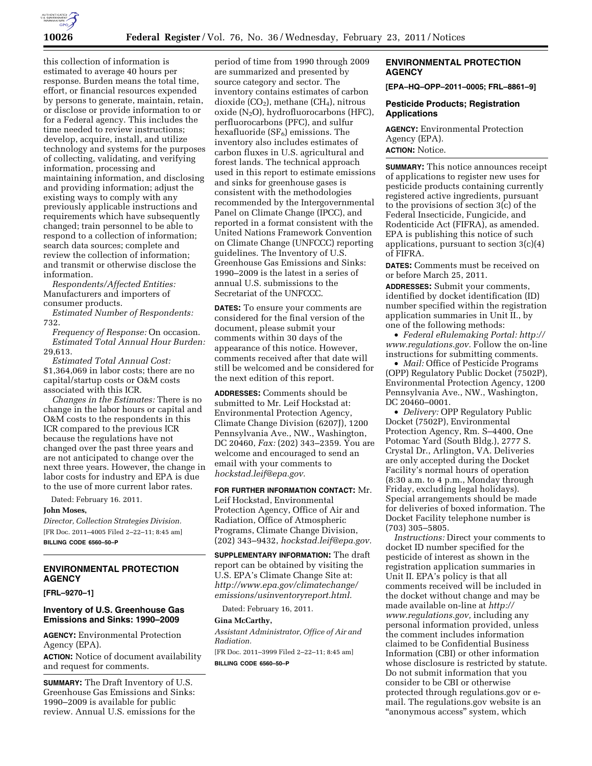

this collection of information is estimated to average 40 hours per response. Burden means the total time, effort, or financial resources expended by persons to generate, maintain, retain, or disclose or provide information to or for a Federal agency. This includes the time needed to review instructions; develop, acquire, install, and utilize technology and systems for the purposes of collecting, validating, and verifying information, processing and maintaining information, and disclosing and providing information; adjust the existing ways to comply with any previously applicable instructions and requirements which have subsequently changed; train personnel to be able to respond to a collection of information; search data sources; complete and review the collection of information; and transmit or otherwise disclose the information.

*Respondents/Affected Entities:*  Manufacturers and importers of consumer products.

*Estimated Number of Respondents:*  732.

*Frequency of Response:* On occasion. *Estimated Total Annual Hour Burden:*  29,613.

*Estimated Total Annual Cost:*  \$1,364,069 in labor costs; there are no capital/startup costs or O&M costs associated with this ICR.

*Changes in the Estimates:* There is no change in the labor hours or capital and O&M costs to the respondents in this ICR compared to the previous ICR because the regulations have not changed over the past three years and are not anticipated to change over the next three years. However, the change in labor costs for industry and EPA is due to the use of more current labor rates.

Dated: February 16. 2011.

### **John Moses,**

*Director, Collection Strategies Division.*  [FR Doc. 2011–4005 Filed 2–22–11; 8:45 am] **BILLING CODE 6560–50–P** 

# **ENVIRONMENTAL PROTECTION AGENCY**

**[FRL–9270–1]** 

# **Inventory of U.S. Greenhouse Gas Emissions and Sinks: 1990–2009**

**AGENCY:** Environmental Protection Agency (EPA).

**ACTION:** Notice of document availability and request for comments.

**SUMMARY:** The Draft Inventory of U.S. Greenhouse Gas Emissions and Sinks: 1990–2009 is available for public review. Annual U.S. emissions for the

period of time from 1990 through 2009 are summarized and presented by source category and sector. The inventory contains estimates of carbon dioxide  $(CO_2)$ , methane  $(CH_4)$ , nitrous oxide  $(N_2O)$ , hydrofluorocarbons (HFC), perfluorocarbons (PFC), and sulfur hexafluoride  $(SF_6)$  emissions. The inventory also includes estimates of carbon fluxes in U.S. agricultural and forest lands. The technical approach used in this report to estimate emissions and sinks for greenhouse gases is consistent with the methodologies recommended by the Intergovernmental Panel on Climate Change (IPCC), and reported in a format consistent with the United Nations Framework Convention on Climate Change (UNFCCC) reporting guidelines. The Inventory of U.S. Greenhouse Gas Emissions and Sinks: 1990–2009 is the latest in a series of annual U.S. submissions to the Secretariat of the UNFCCC.

**DATES:** To ensure your comments are considered for the final version of the document, please submit your comments within 30 days of the appearance of this notice. However, comments received after that date will still be welcomed and be considered for the next edition of this report.

**ADDRESSES:** Comments should be submitted to Mr. Leif Hockstad at: Environmental Protection Agency, Climate Change Division (6207J), 1200 Pennsylvania Ave., NW., Washington, DC 20460, *Fax:* (202) 343–2359. You are welcome and encouraged to send an email with your comments to *[hockstad.leif@epa.gov.](mailto:hockstad.leif@epa.gov)* 

**FOR FURTHER INFORMATION CONTACT:** Mr. Leif Hockstad, Environmental Protection Agency, Office of Air and Radiation, Office of Atmospheric Programs, Climate Change Division, (202) 343–9432, *[hockstad.leif@epa.gov.](mailto:hockstad.leif@epa.gov)* 

**SUPPLEMENTARY INFORMATION:** The draft report can be obtained by visiting the U.S. EPA's Climate Change Site at: *[http://www.epa.gov/climatechange/](http://www.epa.gov/climatechange/emissions/usinventoryreport.html) [emissions/usinventoryreport.html.](http://www.epa.gov/climatechange/emissions/usinventoryreport.html)* 

Dated: February 16, 2011.

### **Gina McCarthy,**

*Assistant Administrator, Office of Air and Radiation.* 

[FR Doc. 2011–3999 Filed 2–22–11; 8:45 am] **BILLING CODE 6560–50–P** 

# **ENVIRONMENTAL PROTECTION AGENCY**

**[EPA–HQ–OPP–2011–0005; FRL–8861–9]** 

### **Pesticide Products; Registration Applications**

**AGENCY:** Environmental Protection Agency (EPA). **ACTION:** Notice.

**SUMMARY:** This notice announces receipt of applications to register new uses for pesticide products containing currently registered active ingredients, pursuant to the provisions of section 3(c) of the Federal Insecticide, Fungicide, and Rodenticide Act (FIFRA), as amended. EPA is publishing this notice of such applications, pursuant to section  $3(c)(4)$ of FIFRA.

**DATES:** Comments must be received on or before March 25, 2011.

**ADDRESSES:** Submit your comments, identified by docket identification (ID) number specified within the registration application summaries in Unit II., by one of the following methods:

• *Federal eRulemaking Portal: [http://](http://www.regulations.gov)  [www.regulations.gov.](http://www.regulations.gov)* Follow the on-line instructions for submitting comments.

• *Mail:* Office of Pesticide Programs (OPP) Regulatory Public Docket (7502P), Environmental Protection Agency, 1200 Pennsylvania Ave., NW., Washington, DC 20460–0001.

• *Delivery:* OPP Regulatory Public Docket (7502P), Environmental Protection Agency, Rm. S–4400, One Potomac Yard (South Bldg.), 2777 S. Crystal Dr., Arlington, VA. Deliveries are only accepted during the Docket Facility's normal hours of operation (8:30 a.m. to 4 p.m., Monday through Friday, excluding legal holidays). Special arrangements should be made for deliveries of boxed information. The Docket Facility telephone number is (703) 305–5805.

*Instructions:* Direct your comments to docket ID number specified for the pesticide of interest as shown in the registration application summaries in Unit II. EPA's policy is that all comments received will be included in the docket without change and may be made available on-line at *[http://](http://www.regulations.gov)  [www.regulations.gov,](http://www.regulations.gov)* including any personal information provided, unless the comment includes information claimed to be Confidential Business Information (CBI) or other information whose disclosure is restricted by statute. Do not submit information that you consider to be CBI or otherwise protected through regulations.gov or email. The regulations.gov website is an ''anonymous access'' system, which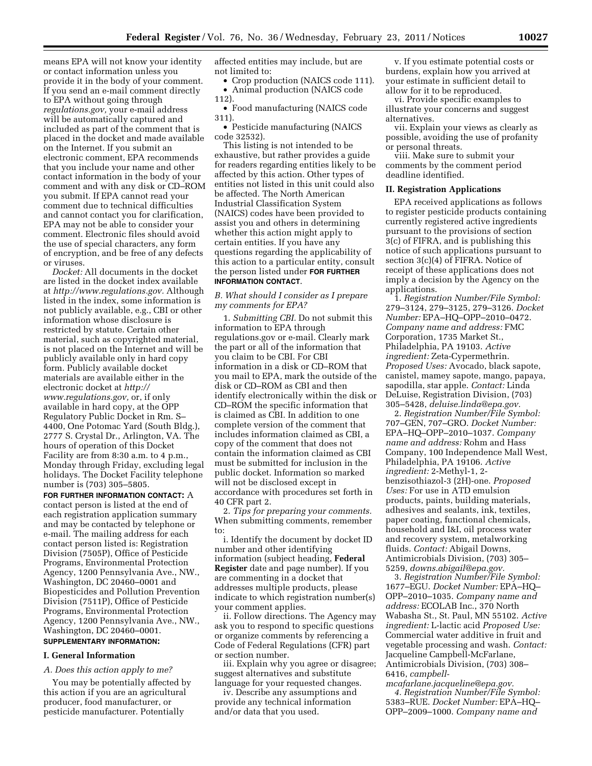means EPA will not know your identity or contact information unless you provide it in the body of your comment. If you send an e-mail comment directly to EPA without going through *regulations.gov,* your e-mail address will be automatically captured and included as part of the comment that is placed in the docket and made available on the Internet. If you submit an electronic comment, EPA recommends that you include your name and other contact information in the body of your comment and with any disk or CD–ROM you submit. If EPA cannot read your comment due to technical difficulties and cannot contact you for clarification, EPA may not be able to consider your comment. Electronic files should avoid the use of special characters, any form of encryption, and be free of any defects or viruses.

*Docket:* All documents in the docket are listed in the docket index available at *[http://www.regulations.gov.](http://www.regulations.gov)* Although listed in the index, some information is not publicly available, e.g., CBI or other information whose disclosure is restricted by statute. Certain other material, such as copyrighted material, is not placed on the Internet and will be publicly available only in hard copy form. Publicly available docket materials are available either in the electronic docket at *[http://](http://www.regulations.gov)  [www.regulations.gov,](http://www.regulations.gov)* or, if only available in hard copy, at the OPP Regulatory Public Docket in Rm. S– 4400, One Potomac Yard (South Bldg.), 2777 S. Crystal Dr., Arlington, VA. The hours of operation of this Docket Facility are from 8:30 a.m. to 4 p.m., Monday through Friday, excluding legal holidays. The Docket Facility telephone number is (703) 305–5805.

**FOR FURTHER INFORMATION CONTACT:** A contact person is listed at the end of each registration application summary and may be contacted by telephone or e-mail. The mailing address for each contact person listed is: Registration Division (7505P), Office of Pesticide Programs, Environmental Protection Agency, 1200 Pennsylvania Ave., NW., Washington, DC 20460–0001 and Biopesticides and Pollution Prevention Division (7511P), Office of Pesticide Programs, Environmental Protection Agency, 1200 Pennsylvania Ave., NW., Washington, DC 20460–0001.

# **SUPPLEMENTARY INFORMATION:**

# **I. General Information**

*A. Does this action apply to me?* 

You may be potentially affected by this action if you are an agricultural producer, food manufacturer, or pesticide manufacturer. Potentially

affected entities may include, but are not limited to:

• Crop production (NAICS code 111). • Animal production (NAICS code

112). • Food manufacturing (NAICS code 311).

• Pesticide manufacturing (NAICS code 32532).

This listing is not intended to be exhaustive, but rather provides a guide for readers regarding entities likely to be affected by this action. Other types of entities not listed in this unit could also be affected. The North American Industrial Classification System (NAICS) codes have been provided to assist you and others in determining whether this action might apply to certain entities. If you have any questions regarding the applicability of this action to a particular entity, consult the person listed under **FOR FURTHER INFORMATION CONTACT**.

### *B. What should I consider as I prepare my comments for EPA?*

1. *Submitting CBI.* Do not submit this information to EPA through regulations.gov or e-mail. Clearly mark the part or all of the information that you claim to be CBI. For CBI information in a disk or CD–ROM that you mail to EPA, mark the outside of the disk or CD–ROM as CBI and then identify electronically within the disk or CD–ROM the specific information that is claimed as CBI. In addition to one complete version of the comment that includes information claimed as CBI, a copy of the comment that does not contain the information claimed as CBI must be submitted for inclusion in the public docket. Information so marked will not be disclosed except in accordance with procedures set forth in 40 CFR part 2.

2. *Tips for preparing your comments.*  When submitting comments, remember to:

i. Identify the document by docket ID number and other identifying information (subject heading, **Federal Register** date and page number). If you are commenting in a docket that addresses multiple products, please indicate to which registration number(s) your comment applies.

ii. Follow directions. The Agency may ask you to respond to specific questions or organize comments by referencing a Code of Federal Regulations (CFR) part or section number.

iii. Explain why you agree or disagree; suggest alternatives and substitute language for your requested changes.

iv. Describe any assumptions and provide any technical information and/or data that you used.

v. If you estimate potential costs or burdens, explain how you arrived at your estimate in sufficient detail to allow for it to be reproduced.

vi. Provide specific examples to illustrate your concerns and suggest alternatives.

vii. Explain your views as clearly as possible, avoiding the use of profanity or personal threats.

viii. Make sure to submit your comments by the comment period deadline identified.

### **II. Registration Applications**

EPA received applications as follows to register pesticide products containing currently registered active ingredients pursuant to the provisions of section 3(c) of FIFRA, and is publishing this notice of such applications pursuant to section 3(c)(4) of FIFRA. Notice of receipt of these applications does not imply a decision by the Agency on the applications.

1. *Registration Number/File Symbol:*  279–3124, 279–3125, 279–3126. *Docket Number:* EPA–HQ–OPP–2010–0472. *Company name and address:* FMC Corporation, 1735 Market St., Philadelphia, PA 19103. *Active ingredient:* Zeta-Cypermethrin. *Proposed Uses:* Avocado, black sapote, canistel, mamey sapote, mango, papaya, sapodilla, star apple. *Contact:* Linda DeLuise, Registration Division, (703) 305–5428, *[deluise.linda@epa.gov.](mailto:deluise.linda@epa.gov)* 

2. *Registration Number/File Symbol:*  707–GEN, 707–GRO. *Docket Number:*  EPA–HQ–OPP–2010–1037. *Company name and address:* Rohm and Hass Company, 100 Independence Mall West, Philadelphia, PA 19106. *Active ingredient:* 2-Methyl-1, 2 benzisothiazol-3 (2H)-one. *Proposed Uses:* For use in ATD emulsion products, paints, building materials, adhesives and sealants, ink, textiles, paper coating, functional chemicals, household and I&I, oil process water and recovery system, metalworking fluids. *Contact:* Abigail Downs, Antimicrobials Division, (703) 305– 5259, *[downs.abigail@epa.gov.](mailto:downs.abigail@epa.gov)* 

3. *Registration Number/File Symbol:*  1677–EGU. *Docket Number:* EPA–HQ– OPP–2010–1035. *Company name and address:* ECOLAB Inc., 370 North Wabasha St., St. Paul, MN 55102. *Active ingredient:* L-lactic acid *Proposed Use:*  Commercial water additive in fruit and vegetable processing and wash. *Contact:*  Jacqueline Campbell-McFarlane, Antimicrobials Division, (703) 308– 6416, *[campbell-](mailto:campbell-mcafarlane.jacqueline@epa.gov)*

*[mcafarlane.jacqueline@epa.gov.](mailto:campbell-mcafarlane.jacqueline@epa.gov)  4. Registration Number/File Symbol:*  5383–RUE. *Docket Number:* EPA–HQ– OPP–2009–1000. *Company name and*